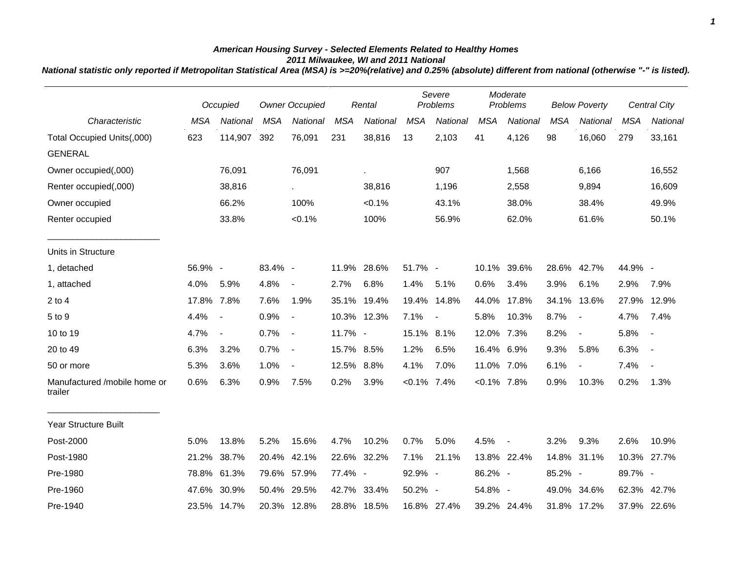## *American Housing Survey - Selected Elements Related to Healthy Homes 2011 Milwaukee, WI and 2011 National*

*National statistic only reported if Metropolitan Statistical Area (MSA) is >=20%(relative) and 0.25% (absolute) different from national (otherwise "-" is listed).*

|                                         |            | Occupied                 | <b>Owner Occupied</b> |                          | Severe<br>Problems<br>Rental |             |            |                | Moderate<br>Problems |                | <b>Below Poverty</b> |                          | <b>Central City</b> |                |
|-----------------------------------------|------------|--------------------------|-----------------------|--------------------------|------------------------------|-------------|------------|----------------|----------------------|----------------|----------------------|--------------------------|---------------------|----------------|
| Characteristic                          | <b>MSA</b> | National                 | <b>MSA</b>            | National                 | <b>MSA</b>                   | National    | <b>MSA</b> | National       | <b>MSA</b>           | National       | <b>MSA</b>           | National                 | <b>MSA</b>          | National       |
| Total Occupied Units(,000)              | 623        | 114,907                  | 392                   | 76,091                   | 231                          | 38,816      | 13         | 2,103          | 41                   | 4,126          | 98                   | 16,060                   | 279                 | 33,161         |
| <b>GENERAL</b>                          |            |                          |                       |                          |                              |             |            |                |                      |                |                      |                          |                     |                |
| Owner occupied(,000)                    |            | 76,091                   |                       | 76,091                   |                              | ä,          |            | 907            |                      | 1,568          |                      | 6,166                    |                     | 16,552         |
| Renter occupied(,000)                   |            | 38,816                   |                       | $\epsilon$               |                              | 38,816      |            | 1,196          |                      | 2,558          |                      | 9,894                    |                     | 16,609         |
| Owner occupied                          |            | 66.2%                    |                       | 100%                     |                              | $< 0.1\%$   |            | 43.1%          |                      | 38.0%          |                      | 38.4%                    |                     | 49.9%          |
| Renter occupied                         |            | 33.8%                    |                       | $< 0.1\%$                |                              | 100%        |            | 56.9%          |                      | 62.0%          |                      | 61.6%                    |                     | 50.1%          |
| Units in Structure                      |            |                          |                       |                          |                              |             |            |                |                      |                |                      |                          |                     |                |
| 1, detached                             | 56.9% -    |                          | 83.4% -               |                          |                              | 11.9% 28.6% | 51.7% -    |                | 10.1%                | 39.6%          |                      | 28.6% 42.7%              | 44.9% -             |                |
| 1, attached                             | 4.0%       | 5.9%                     | 4.8%                  | $\overline{\phantom{a}}$ | 2.7%                         | 6.8%        | 1.4%       | 5.1%           | 0.6%                 | 3.4%           | 3.9%                 | 6.1%                     | 2.9%                | 7.9%           |
| $2$ to 4                                | 17.8%      | 7.8%                     | 7.6%                  | 1.9%                     |                              | 35.1% 19.4% | 19.4%      | 14.8%          | 44.0%                | 17.8%          | 34.1%                | 13.6%                    | 27.9%               | 12.9%          |
| 5 to 9                                  | 4.4%       | $\overline{\phantom{a}}$ | 0.9%                  | $\overline{\phantom{a}}$ |                              | 10.3% 12.3% | 7.1%       | $\blacksquare$ | 5.8%                 | 10.3%          | 8.7%                 | $\blacksquare$           | 4.7%                | 7.4%           |
| 10 to 19                                | 4.7%       | $\blacksquare$           | 0.7%                  | $\sim$                   | 11.7% -                      |             | 15.1% 8.1% |                | 12.0% 7.3%           |                | 8.2%                 | $\overline{\phantom{a}}$ | 5.8%                | $\blacksquare$ |
| 20 to 49                                | 6.3%       | 3.2%                     | 0.7%                  | $\overline{\phantom{a}}$ | 15.7% 8.5%                   |             | 1.2%       | 6.5%           | 16.4% 6.9%           |                | 9.3%                 | 5.8%                     | 6.3%                | $\sim$         |
| 50 or more                              | 5.3%       | 3.6%                     | 1.0%                  | $\blacksquare$           | 12.5% 8.8%                   |             | 4.1%       | 7.0%           | 11.0% 7.0%           |                | 6.1%                 | $\overline{\phantom{a}}$ | 7.4%                | $\blacksquare$ |
| Manufactured /mobile home or<br>trailer | 0.6%       | 6.3%                     | 0.9%                  | 7.5%                     | 0.2%                         | 3.9%        | $< 0.1\%$  | 7.4%           | $< 0.1\%$ 7.8%       |                | 0.9%                 | 10.3%                    | 0.2%                | 1.3%           |
| <b>Year Structure Built</b>             |            |                          |                       |                          |                              |             |            |                |                      |                |                      |                          |                     |                |
| Post-2000                               | 5.0%       | 13.8%                    | 5.2%                  | 15.6%                    | 4.7%                         | 10.2%       | 0.7%       | 5.0%           | 4.5%                 | $\blacksquare$ | 3.2%                 | 9.3%                     | 2.6%                | 10.9%          |
| Post-1980                               | 21.2%      | 38.7%                    | 20.4%                 | 42.1%                    |                              | 22.6% 32.2% | 7.1%       | 21.1%          |                      | 13.8% 22.4%    | 14.8%                | 31.1%                    | 10.3%               | 27.7%          |
| Pre-1980                                | 78.8%      | 61.3%                    |                       | 79.6% 57.9%              | 77.4% -                      |             | 92.9% -    |                | 86.2% -              |                | 85.2% -              |                          | 89.7% -             |                |
| Pre-1960                                | 47.6%      | 30.9%                    |                       | 50.4% 29.5%              |                              | 42.7% 33.4% | 50.2% -    |                | 54.8% -              |                | 49.0%                | 34.6%                    | 62.3% 42.7%         |                |
| Pre-1940                                |            | 23.5% 14.7%              |                       | 20.3% 12.8%              |                              | 28.8% 18.5% |            | 16.8% 27.4%    |                      | 39.2% 24.4%    |                      | 31.8% 17.2%              |                     | 37.9% 22.6%    |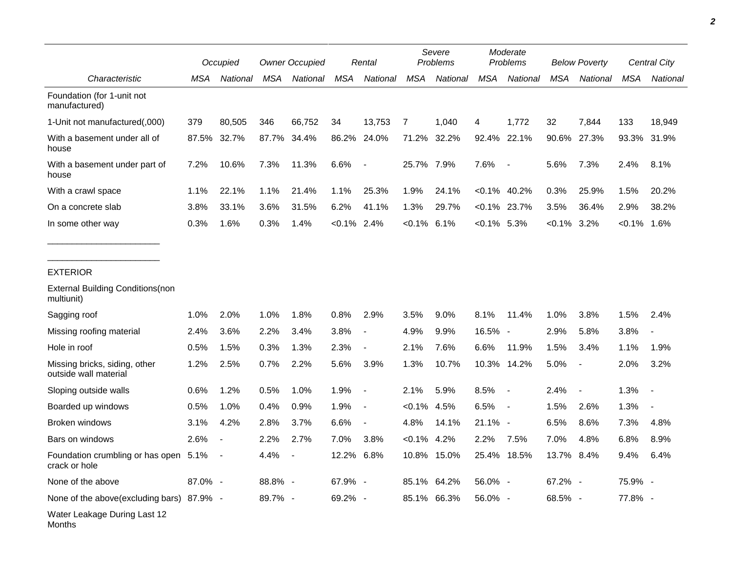|                                                        |         | Occupied | <b>Owner Occupied</b> |          |            | Rental                   |                | Severe<br>Problems | Moderate<br>Problems |                          | <b>Below Poverty</b> |                          | Central City |          |
|--------------------------------------------------------|---------|----------|-----------------------|----------|------------|--------------------------|----------------|--------------------|----------------------|--------------------------|----------------------|--------------------------|--------------|----------|
| Characteristic                                         | MSA     | National | MSA                   | National | <b>MSA</b> | National                 | <b>MSA</b>     | National           | <b>MSA</b>           | National                 | <b>MSA</b>           | National                 | <b>MSA</b>   | National |
| Foundation (for 1-unit not<br>manufactured)            |         |          |                       |          |            |                          |                |                    |                      |                          |                      |                          |              |          |
| 1-Unit not manufactured(,000)                          | 379     | 80,505   | 346                   | 66,752   | 34         | 13,753                   | 7              | 1,040              | 4                    | 1,772                    | 32                   | 7,844                    | 133          | 18,949   |
| With a basement under all of<br>house                  | 87.5%   | 32.7%    | 87.7%                 | 34.4%    | 86.2%      | 24.0%                    | 71.2%          | 32.2%              | 92.4%                | 22.1%                    | 90.6%                | 27.3%                    | 93.3%        | 31.9%    |
| With a basement under part of<br>house                 | 7.2%    | 10.6%    | 7.3%                  | 11.3%    | 6.6%       | $\blacksquare$           | 25.7% 7.9%     |                    | 7.6%                 | $\overline{\phantom{a}}$ | 5.6%                 | 7.3%                     | 2.4%         | 8.1%     |
| With a crawl space                                     | 1.1%    | 22.1%    | 1.1%                  | 21.4%    | 1.1%       | 25.3%                    | 1.9%           | 24.1%              | $< 0.1\%$            | 40.2%                    | 0.3%                 | 25.9%                    | 1.5%         | 20.2%    |
| On a concrete slab                                     | 3.8%    | 33.1%    | 3.6%                  | 31.5%    | 6.2%       | 41.1%                    | 1.3%           | 29.7%              |                      | $< 0.1\%$ 23.7%          | 3.5%                 | 36.4%                    | 2.9%         | 38.2%    |
| In some other way                                      | 0.3%    | 1.6%     | 0.3%                  | 1.4%     | $< 0.1\%$  | 2.4%                     | $< 0.1\%$      | 6.1%               | $< 0.1\%$ 5.3%       |                          | $< 0.1\%$            | 3.2%                     | $< 0.1\%$    | 1.6%     |
| <b>EXTERIOR</b>                                        |         |          |                       |          |            |                          |                |                    |                      |                          |                      |                          |              |          |
| <b>External Building Conditions (non</b><br>multiunit) |         |          |                       |          |            |                          |                |                    |                      |                          |                      |                          |              |          |
| Sagging roof                                           | 1.0%    | 2.0%     | 1.0%                  | 1.8%     | 0.8%       | 2.9%                     | 3.5%           | 9.0%               | 8.1%                 | 11.4%                    | 1.0%                 | 3.8%                     | 1.5%         | 2.4%     |
| Missing roofing material                               | 2.4%    | 3.6%     | 2.2%                  | 3.4%     | 3.8%       | $\overline{\phantom{a}}$ | 4.9%           | 9.9%               | 16.5% -              |                          | 2.9%                 | 5.8%                     | 3.8%         |          |
| Hole in roof                                           | 0.5%    | 1.5%     | 0.3%                  | 1.3%     | 2.3%       | $\blacksquare$           | 2.1%           | 7.6%               | 6.6%                 | 11.9%                    | 1.5%                 | 3.4%                     | 1.1%         | 1.9%     |
| Missing bricks, siding, other<br>outside wall material | 1.2%    | 2.5%     | 0.7%                  | 2.2%     | 5.6%       | 3.9%                     | 1.3%           | 10.7%              | 10.3%                | 14.2%                    | 5.0%                 | $\overline{\phantom{a}}$ | 2.0%         | 3.2%     |
| Sloping outside walls                                  | 0.6%    | 1.2%     | 0.5%                  | 1.0%     | 1.9%       | $\blacksquare$           | 2.1%           | 5.9%               | 8.5%                 | $\overline{\phantom{a}}$ | 2.4%                 | $\overline{\phantom{a}}$ | 1.3%         |          |
| Boarded up windows                                     | 0.5%    | 1.0%     | 0.4%                  | 0.9%     | 1.9%       | $\blacksquare$           | $< 0.1\%$      | 4.5%               | 6.5%                 | $\blacksquare$           | 1.5%                 | 2.6%                     | 1.3%         |          |
| Broken windows                                         | 3.1%    | 4.2%     | 2.8%                  | 3.7%     | 6.6%       | $\blacksquare$           | 4.8%           | 14.1%              | $21.1\%$ -           |                          | 6.5%                 | 8.6%                     | 7.3%         | 4.8%     |
| Bars on windows                                        | 2.6%    |          | 2.2%                  | 2.7%     | 7.0%       | 3.8%                     | $< 0.1\%$ 4.2% |                    | 2.2%                 | 7.5%                     | 7.0%                 | 4.8%                     | 6.8%         | 8.9%     |
| Foundation crumbling or has open 5.1%<br>crack or hole |         |          | 4.4%                  |          | 12.2%      | 6.8%                     |                | 10.8% 15.0%        |                      | 25.4% 18.5%              | 13.7%                | 8.4%                     | 9.4%         | 6.4%     |
| None of the above                                      | 87.0% - |          | 88.8% -               |          | 67.9% -    |                          |                | 85.1% 64.2%        | 56.0% -              |                          | 67.2% -              |                          | 75.9% -      |          |
| None of the above(excluding bars) 87.9% -              |         |          | 89.7% -               |          | 69.2% -    |                          |                | 85.1% 66.3%        | 56.0% -              |                          | 68.5% -              |                          | 77.8% -      |          |
| Water Leakage During Last 12<br>Months                 |         |          |                       |          |            |                          |                |                    |                      |                          |                      |                          |              |          |

*2*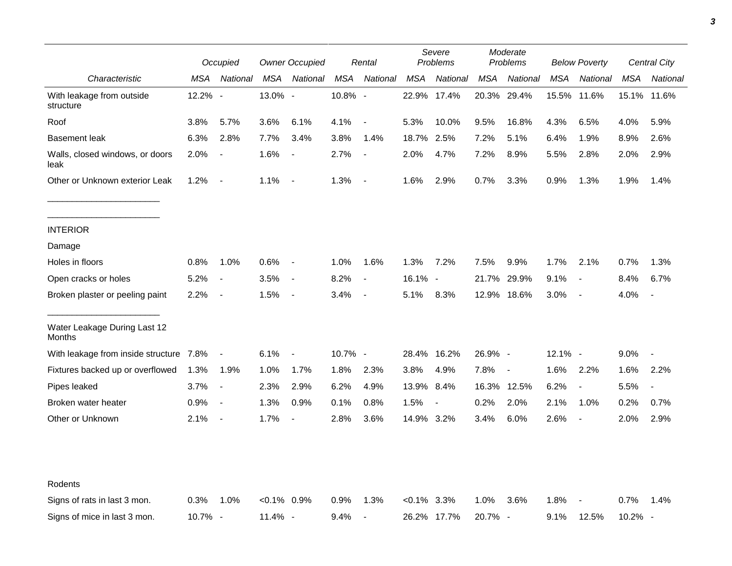|                                         | Occupied<br><b>Owner Occupied</b> |                          |               | Rental                   |         |                          | Severe<br>Problems | Moderate<br>Problems |            | <b>Below Poverty</b> |         | Central City             |             |                          |
|-----------------------------------------|-----------------------------------|--------------------------|---------------|--------------------------|---------|--------------------------|--------------------|----------------------|------------|----------------------|---------|--------------------------|-------------|--------------------------|
| Characteristic                          | MSA                               | National                 | MSA           | National                 | MSA     | National                 | MSA                | National             | <b>MSA</b> | National             | MSA     | National                 | MSA         | National                 |
| With leakage from outside<br>structure  | 12.2% -                           |                          | 13.0% -       |                          | 10.8% - |                          | 22.9%              | 17.4%                |            | 20.3% 29.4%          | 15.5%   | 11.6%                    | 15.1% 11.6% |                          |
| Roof                                    | 3.8%                              | 5.7%                     | 3.6%          | 6.1%                     | 4.1%    | $\overline{\phantom{a}}$ | 5.3%               | 10.0%                | 9.5%       | 16.8%                | 4.3%    | 6.5%                     | 4.0%        | 5.9%                     |
| <b>Basement leak</b>                    | 6.3%                              | 2.8%                     | 7.7%          | 3.4%                     | 3.8%    | 1.4%                     | 18.7%              | 2.5%                 | 7.2%       | 5.1%                 | 6.4%    | 1.9%                     | 8.9%        | 2.6%                     |
| Walls, closed windows, or doors<br>leak | 2.0%                              | $\overline{\phantom{a}}$ | 1.6%          | $\blacksquare$           | 2.7%    | $\overline{\phantom{a}}$ | 2.0%               | 4.7%                 | 7.2%       | 8.9%                 | 5.5%    | 2.8%                     | 2.0%        | 2.9%                     |
| Other or Unknown exterior Leak          | 1.2%                              | $\sim$                   | 1.1%          | $\sim$                   | 1.3%    | $\overline{\phantom{a}}$ | 1.6%               | 2.9%                 | 0.7%       | 3.3%                 | 0.9%    | 1.3%                     | 1.9%        | 1.4%                     |
| <b>INTERIOR</b>                         |                                   |                          |               |                          |         |                          |                    |                      |            |                      |         |                          |             |                          |
| Damage                                  |                                   |                          |               |                          |         |                          |                    |                      |            |                      |         |                          |             |                          |
| Holes in floors                         | 0.8%                              | 1.0%                     | 0.6%          | $\blacksquare$           | 1.0%    | 1.6%                     | 1.3%               | 7.2%                 | 7.5%       | 9.9%                 | 1.7%    | 2.1%                     | 0.7%        | 1.3%                     |
| Open cracks or holes                    | 5.2%                              | $\overline{\phantom{a}}$ | 3.5%          | $\overline{\phantom{a}}$ | 8.2%    | $\blacksquare$           | 16.1% -            |                      | 21.7%      | 29.9%                | 9.1%    | $\overline{\phantom{a}}$ | 8.4%        | 6.7%                     |
| Broken plaster or peeling paint         | 2.2%                              | $\overline{\phantom{a}}$ | 1.5%          | $\overline{\phantom{a}}$ | 3.4%    | $\overline{\phantom{a}}$ | 5.1%               | 8.3%                 |            | 12.9% 18.6%          | 3.0%    | $\sim$                   | 4.0%        | $\overline{\phantom{a}}$ |
| Water Leakage During Last 12<br>Months  |                                   |                          |               |                          |         |                          |                    |                      |            |                      |         |                          |             |                          |
| With leakage from inside structure 7.8% |                                   | $\overline{\phantom{a}}$ | 6.1%          | $\blacksquare$           | 10.7% - |                          | 28.4% 16.2%        |                      | 26.9% -    |                      | 12.1% - |                          | 9.0%        | $\blacksquare$           |
| Fixtures backed up or overflowed        | 1.3%                              | 1.9%                     | 1.0%          | 1.7%                     | 1.8%    | 2.3%                     | 3.8%               | 4.9%                 | 7.8%       | $\blacksquare$       | 1.6%    | 2.2%                     | 1.6%        | 2.2%                     |
| Pipes leaked                            | 3.7%                              | $\overline{\phantom{a}}$ | 2.3%          | 2.9%                     | 6.2%    | 4.9%                     | 13.9% 8.4%         |                      |            | 16.3% 12.5%          | 6.2%    | $\overline{\phantom{a}}$ | 5.5%        | $\blacksquare$           |
| Broken water heater                     | 0.9%                              | $\overline{\phantom{a}}$ | 1.3%          | 0.9%                     | 0.1%    | 0.8%                     | 1.5%               | $\blacksquare$       | 0.2%       | 2.0%                 | 2.1%    | 1.0%                     | 0.2%        | 0.7%                     |
| Other or Unknown                        | 2.1%                              | $\overline{\phantom{a}}$ | 1.7%          | $\overline{\phantom{a}}$ | 2.8%    | 3.6%                     | 14.9% 3.2%         |                      | 3.4%       | 6.0%                 | 2.6%    | $\overline{\phantom{a}}$ | 2.0%        | 2.9%                     |
|                                         |                                   |                          |               |                          |         |                          |                    |                      |            |                      |         |                          |             |                          |
| Rodents                                 |                                   |                          |               |                          |         |                          |                    |                      |            |                      |         |                          |             |                          |
| Signs of rats in last 3 mon.            | 0.3%                              | 1.0%                     | $<0.1\%$ 0.9% |                          | 0.9%    | 1.3%                     | $< 0.1\%$          | 3.3%                 | 1.0%       | 3.6%                 | 1.8%    | $\overline{\phantom{a}}$ | 0.7%        | 1.4%                     |
| Signs of mice in last 3 mon.            | 10.7% -                           |                          | 11.4% -       |                          | 9.4%    | $\overline{\phantom{a}}$ | 26.2% 17.7%        |                      | 20.7% -    |                      | 9.1%    | 12.5%                    | 10.2% -     |                          |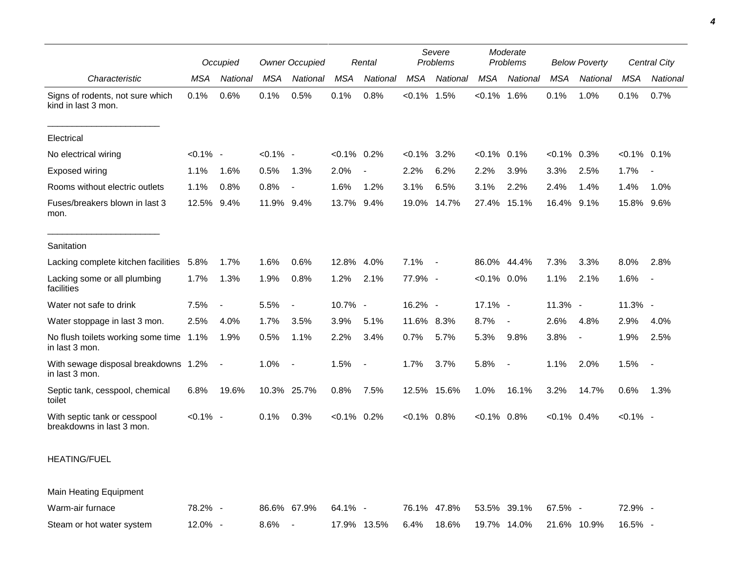|                                                           |             | Occupied       |             | <b>Owner Occupied</b>    |                | Rental                   |                | Severe<br><b>Problems</b> | Moderate<br>Problems |                          | <b>Below Poverty</b> |                | Central City   |                          |
|-----------------------------------------------------------|-------------|----------------|-------------|--------------------------|----------------|--------------------------|----------------|---------------------------|----------------------|--------------------------|----------------------|----------------|----------------|--------------------------|
| Characteristic                                            | <b>MSA</b>  | National       | <b>MSA</b>  | National                 | <b>MSA</b>     | National                 | <b>MSA</b>     | National                  | MSA                  | National                 | <b>MSA</b>           | National       | <b>MSA</b>     | National                 |
| Signs of rodents, not sure which<br>kind in last 3 mon.   | 0.1%        | 0.6%           | 0.1%        | 0.5%                     | 0.1%           | 0.8%                     | $< 0.1\%$ 1.5% |                           | $< 0.1\%$ 1.6%       |                          | 0.1%                 | 1.0%           | 0.1%           | 0.7%                     |
| Electrical                                                |             |                |             |                          |                |                          |                |                           |                      |                          |                      |                |                |                          |
| No electrical wiring                                      | $< 0.1\%$ - |                | $< 0.1\%$ - |                          | $< 0.1\%$ 0.2% |                          | $< 0.1\%$ 3.2% |                           | $< 0.1\%$            | 0.1%                     | $< 0.1\%$ 0.3%       |                | $< 0.1\%$ 0.1% |                          |
| Exposed wiring                                            | 1.1%        | 1.6%           | 0.5%        | 1.3%                     | 2.0%           | $\overline{\phantom{a}}$ | 2.2%           | 6.2%                      | 2.2%                 | 3.9%                     | 3.3%                 | 2.5%           | 1.7%           |                          |
| Rooms without electric outlets                            | 1.1%        | 0.8%           | 0.8%        | $\overline{\phantom{a}}$ | 1.6%           | 1.2%                     | 3.1%           | 6.5%                      | 3.1%                 | 2.2%                     | 2.4%                 | 1.4%           | 1.4%           | 1.0%                     |
| Fuses/breakers blown in last 3<br>mon.                    | 12.5%       | 9.4%           | 11.9% 9.4%  |                          | 13.7% 9.4%     |                          | 19.0%          | 14.7%                     |                      | 27.4% 15.1%              | 16.4% 9.1%           |                | 15.8% 9.6%     |                          |
| Sanitation                                                |             |                |             |                          |                |                          |                |                           |                      |                          |                      |                |                |                          |
| Lacking complete kitchen facilities 5.8%                  |             | 1.7%           | 1.6%        | 0.6%                     | 12.8% 4.0%     |                          | 7.1%           | $\overline{\phantom{a}}$  | 86.0%                | 44.4%                    | 7.3%                 | 3.3%           | 8.0%           | 2.8%                     |
| Lacking some or all plumbing<br>facilities                | 1.7%        | 1.3%           | 1.9%        | 0.8%                     | 1.2%           | 2.1%                     | 77.9% -        |                           | $< 0.1\%$ 0.0%       |                          | 1.1%                 | 2.1%           | 1.6%           | $\blacksquare$           |
| Water not safe to drink                                   | 7.5%        |                | 5.5%        | $\overline{a}$           | 10.7% -        |                          | 16.2% -        |                           | 17.1% -              |                          | 11.3% -              |                | 11.3% -        |                          |
| Water stoppage in last 3 mon.                             | 2.5%        | 4.0%           | 1.7%        | 3.5%                     | 3.9%           | 5.1%                     | 11.6% 8.3%     |                           | 8.7%                 | $\overline{\phantom{a}}$ | 2.6%                 | 4.8%           | 2.9%           | 4.0%                     |
| No flush toilets working some time 1.1%<br>in last 3 mon. |             | 1.9%           | 0.5%        | 1.1%                     | 2.2%           | 3.4%                     | 0.7%           | 5.7%                      | 5.3%                 | 9.8%                     | 3.8%                 | $\blacksquare$ | 1.9%           | 2.5%                     |
| With sewage disposal breakdowns 1.2%<br>in last 3 mon.    |             | $\blacksquare$ | 1.0%        | $\blacksquare$           | 1.5%           | $\sim$                   | 1.7%           | 3.7%                      | 5.8%                 | $\overline{\phantom{a}}$ | 1.1%                 | 2.0%           | 1.5%           | $\overline{\phantom{a}}$ |
| Septic tank, cesspool, chemical<br>toilet                 | 6.8%        | 19.6%          |             | 10.3% 25.7%              | 0.8%           | 7.5%                     |                | 12.5% 15.6%               | 1.0%                 | 16.1%                    | 3.2%                 | 14.7%          | 0.6%           | 1.3%                     |
| With septic tank or cesspool<br>breakdowns in last 3 mon. | $< 0.1\%$ - |                | 0.1%        | 0.3%                     | $< 0.1\%$ 0.2% |                          | $< 0.1\%$ 0.8% |                           | $< 0.1\%$ 0.8%       |                          | $< 0.1\%$ 0.4%       |                | $< 0.1\%$ -    |                          |
| <b>HEATING/FUEL</b>                                       |             |                |             |                          |                |                          |                |                           |                      |                          |                      |                |                |                          |
| Main Heating Equipment                                    |             |                |             |                          |                |                          |                |                           |                      |                          |                      |                |                |                          |

| Warm-air furnace          | 78.2% - | 86.6% 67.9% 64.1% - |  | 76.1% 47.8% 53.5% 39.1% 67.5% -                | 72.9% - |
|---------------------------|---------|---------------------|--|------------------------------------------------|---------|
| Steam or hot water system | 12.0% - | 8.6%                |  | 17.9% 13.5% 6.4% 18.6% 19.7% 14.0% 21.6% 10.9% | 16.5% - |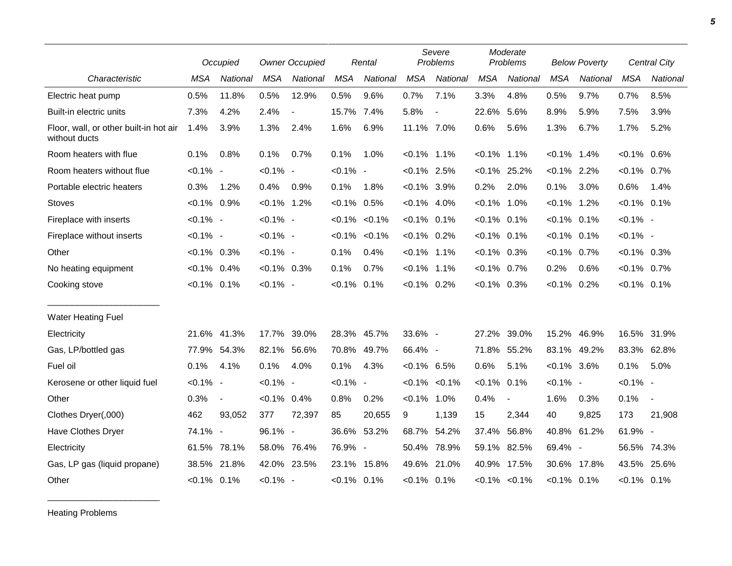|                                                         |                | Occupied        | <b>Owner Occupied</b> |                          |                | Rental              | Severe<br>Problems |                     |                | Moderate<br>Problems |                | <b>Below Poverty</b> |                | Central City             |
|---------------------------------------------------------|----------------|-----------------|-----------------------|--------------------------|----------------|---------------------|--------------------|---------------------|----------------|----------------------|----------------|----------------------|----------------|--------------------------|
| Characteristic                                          | <b>MSA</b>     | <b>National</b> | <b>MSA</b>            | National                 | <b>MSA</b>     | National            | <b>MSA</b>         | National            | <b>MSA</b>     | National             | <b>MSA</b>     | National             | <b>MSA</b>     | <b>National</b>          |
| Electric heat pump                                      | 0.5%           | 11.8%           | 0.5%                  | 12.9%                    | 0.5%           | 9.6%                | 0.7%               | 7.1%                | 3.3%           | 4.8%                 | 0.5%           | 9.7%                 | 0.7%           | 8.5%                     |
| Built-in electric units                                 | 7.3%           | 4.2%            | 2.4%                  | $\overline{\phantom{a}}$ | 15.7% 7.4%     |                     | 5.8%               | $\blacksquare$      | 22.6%          | 5.6%                 | 8.9%           | 5.9%                 | 7.5%           | 3.9%                     |
| Floor, wall, or other built-in hot air<br>without ducts | 1.4%           | 3.9%            | 1.3%                  | 2.4%                     | 1.6%           | 6.9%                | 11.1% 7.0%         |                     | 0.6%           | 5.6%                 | 1.3%           | 6.7%                 | 1.7%           | 5.2%                     |
| Room heaters with flue                                  | 0.1%           | 0.8%            | 0.1%                  | 0.7%                     | 0.1%           | 1.0%                | $< 0.1\%$ 1.1%     |                     | $< 0.1\%$      | 1.1%                 | $< 0.1\%$      | 1.4%                 | $< 0.1\%$ 0.6% |                          |
| Room heaters without flue                               | $< 0.1\%$ -    |                 | $< 0.1\%$ -           |                          | $< 0.1\%$ -    |                     | $< 0.1\%$ 2.5%     |                     |                | $< 0.1\%$ 25.2%      | $< 0.1\%$ 2.2% |                      | $< 0.1\%$ 0.7% |                          |
| Portable electric heaters                               | 0.3%           | 1.2%            | 0.4%                  | 0.9%                     | 0.1%           | 1.8%                | $< 0.1\%$ 3.9%     |                     | 0.2%           | 2.0%                 | 0.1%           | 3.0%                 | 0.6%           | 1.4%                     |
| <b>Stoves</b>                                           | $< 0.1\%$ 0.9% |                 | $< 0.1\%$ 1.2%        |                          | $< 0.1\%$ 0.5% |                     | $< 0.1\%$ 4.0%     |                     | $< 0.1\%$ 1.0% |                      | $< 0.1\%$ 1.2% |                      | $< 0.1\%$ 0.1% |                          |
| Fireplace with inserts                                  | $< 0.1\%$ -    |                 | $< 0.1\%$ -           |                          |                | $< 0.1\%$ $< 0.1\%$ | $< 0.1\%$ 0.1%     |                     | $< 0.1\%$      | 0.1%                 | $< 0.1\%$ 0.1% |                      | $< 0.1\%$ -    |                          |
| Fireplace without inserts                               | $< 0.1\%$ -    |                 | $< 0.1\%$ -           |                          |                | $< 0.1\%$ $< 0.1\%$ | $< 0.1\%$ 0.2%     |                     | $< 0.1\%$ 0.1% |                      | $< 0.1\%$ 0.1% |                      | $< 0.1\%$ -    |                          |
| Other                                                   | $< 0.1\%$ 0.3% |                 | $< 0.1\%$ -           |                          | 0.1%           | 0.4%                | $< 0.1\%$ 1.1%     |                     | $<0.1\%$ 0.3%  |                      | $< 0.1\%$ 0.7% |                      | $< 0.1\%$ 0.3% |                          |
| No heating equipment                                    | $< 0.1\%$ 0.4% |                 | $< 0.1\%$ 0.3%        |                          | 0.1%           | 0.7%                | $< 0.1\%$ 1.1%     |                     | $< 0.1\%$ 0.7% |                      | 0.2%           | 0.6%                 | $< 0.1\%$ 0.7% |                          |
| Cooking stove                                           | $< 0.1\%$ 0.1% |                 | $< 0.1\%$ -           |                          | $< 0.1\%$      | 0.1%                | $< 0.1\%$ 0.2%     |                     | $<0.1\%$ 0.3%  |                      | $< 0.1\%$ 0.2% |                      | $< 0.1\%$ 0.1% |                          |
| <b>Water Heating Fuel</b>                               |                |                 |                       |                          |                |                     |                    |                     |                |                      |                |                      |                |                          |
| Electricity                                             |                | 21.6% 41.3%     | 17.7%                 | 39.0%                    |                | 28.3% 45.7%         | 33.6% -            |                     | 27.2%          | 39.0%                | 15.2%          | 46.9%                |                | 16.5% 31.9%              |
| Gas, LP/bottled gas                                     | 77.9%          | 54.3%           | 82.1% 56.6%           |                          |                | 70.8% 49.7%         | 66.4% -            |                     | 71.8%          | 55.2%                | 83.1%          | 49.2%                |                | 83.3% 62.8%              |
| Fuel oil                                                | 0.1%           | 4.1%            | 0.1%                  | 4.0%                     | 0.1%           | 4.3%                | $< 0.1\%$ 6.5%     |                     | 0.6%           | 5.1%                 | $< 0.1\%$ 3.6% |                      | 0.1%           | 5.0%                     |
| Kerosene or other liquid fuel                           | $< 0.1\%$ -    |                 | $< 0.1\%$ -           |                          | $< 0.1\%$ -    |                     |                    | $< 0.1\%$ $< 0.1\%$ | $< 0.1\%$      | 0.1%                 | $< 0.1\%$ -    |                      | $< 0.1\%$ -    |                          |
| Other                                                   | 0.3%           | $\blacksquare$  | $< 0.1\%$ 0.4%        |                          | 0.8%           | 0.2%                | $< 0.1\%$ 1.0%     |                     | 0.4%           | $\blacksquare$       | 1.6%           | 0.3%                 | 0.1%           | $\overline{\phantom{a}}$ |
| Clothes Dryer(,000)                                     | 462            | 93,052          | 377                   | 72,397                   | 85             | 20,655              | 9                  | 1,139               | 15             | 2,344                | 40             | 9,825                | 173            | 21,908                   |
| Have Clothes Dryer                                      | 74.1% -        |                 | 96.1% -               |                          |                | 36.6% 53.2%         | 68.7%              | 54.2%               | 37.4%          | 56.8%                | 40.8% 61.2%    |                      | 61.9% -        |                          |
| Electricity                                             | 61.5%          | 78.1%           |                       | 58.0% 76.4%              | 76.9% -        |                     | 50.4%              | 78.9%               | 59.1%          | 82.5%                | 69.4% -        |                      |                | 56.5% 74.3%              |
| Gas, LP gas (liquid propane)                            | 38.5%          | 21.8%           |                       | 42.0% 23.5%              |                | 23.1% 15.8%         | 49.6%              | 21.0%               |                | 40.9% 17.5%          | 30.6%          | 17.8%                | 43.5%          | 25.6%                    |
| Other                                                   | $< 0.1\%$ 0.1% |                 | $< 0.1\%$ -           |                          | $< 0.1\%$ 0.1% |                     | $< 0.1\%$ 0.1%     |                     |                | $< 0.1\%$ $< 0.1\%$  | $< 0.1\%$ 0.1% |                      | $< 0.1\%$ 0.1% |                          |

Heating Problems

\_\_\_\_\_\_\_\_\_\_\_\_\_\_\_\_\_\_\_\_\_\_\_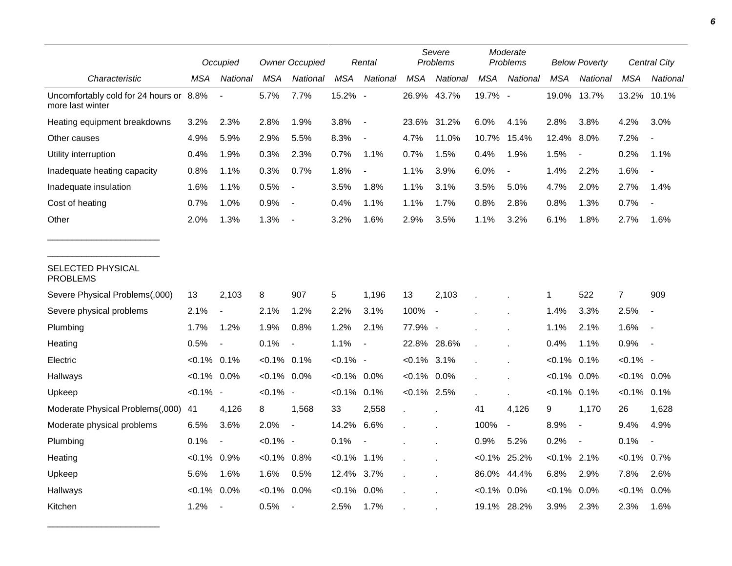|                                                             |                | Occupied                 | <b>Owner Occupied</b> |                          |                | Rental                   |                | Severe<br>Problems       |            | Moderate<br>Problems         |                | <b>Below Poverty</b>     |                | <b>Central City</b>      |
|-------------------------------------------------------------|----------------|--------------------------|-----------------------|--------------------------|----------------|--------------------------|----------------|--------------------------|------------|------------------------------|----------------|--------------------------|----------------|--------------------------|
| Characteristic                                              | MSA            | National                 | MSA                   | National                 | <b>MSA</b>     | National                 | <b>MSA</b>     | National                 | <b>MSA</b> | National                     | MSA            | <b>National</b>          | MSA            | National                 |
| Uncomfortably cold for 24 hours or 8.8%<br>more last winter |                |                          | 5.7%                  | 7.7%                     | 15.2% -        |                          | 26.9%          | 43.7%                    | 19.7% -    |                              | 19.0%          | 13.7%                    | 13.2%          | 10.1%                    |
| Heating equipment breakdowns                                | 3.2%           | 2.3%                     | 2.8%                  | 1.9%                     | 3.8%           | $\overline{\phantom{a}}$ | 23.6%          | 31.2%                    | 6.0%       | 4.1%                         | 2.8%           | 3.8%                     | 4.2%           | 3.0%                     |
| Other causes                                                | 4.9%           | 5.9%                     | 2.9%                  | 5.5%                     | 8.3%           | $\overline{\phantom{a}}$ | 4.7%           | 11.0%                    | 10.7%      | 15.4%                        | 12.4%          | 8.0%                     | 7.2%           |                          |
| Utility interruption                                        | 0.4%           | 1.9%                     | 0.3%                  | 2.3%                     | 0.7%           | 1.1%                     | 0.7%           | 1.5%                     | 0.4%       | 1.9%                         | 1.5%           | $\overline{\phantom{a}}$ | 0.2%           | 1.1%                     |
| Inadequate heating capacity                                 | 0.8%           | 1.1%                     | 0.3%                  | 0.7%                     | 1.8%           | $\overline{\phantom{a}}$ | 1.1%           | 3.9%                     | 6.0%       | $\qquad \qquad \blacksquare$ | 1.4%           | 2.2%                     | 1.6%           |                          |
| Inadequate insulation                                       | 1.6%           | 1.1%                     | 0.5%                  | $\blacksquare$           | 3.5%           | 1.8%                     | 1.1%           | 3.1%                     | 3.5%       | 5.0%                         | 4.7%           | 2.0%                     | 2.7%           | 1.4%                     |
| Cost of heating                                             | 0.7%           | 1.0%                     | 0.9%                  |                          | 0.4%           | 1.1%                     | 1.1%           | 1.7%                     | 0.8%       | 2.8%                         | 0.8%           | 1.3%                     | 0.7%           |                          |
| Other                                                       | 2.0%           | 1.3%                     | 1.3%                  |                          | 3.2%           | 1.6%                     | 2.9%           | 3.5%                     | 1.1%       | 3.2%                         | 6.1%           | 1.8%                     | 2.7%           | 1.6%                     |
| SELECTED PHYSICAL<br><b>PROBLEMS</b>                        |                |                          |                       |                          |                |                          |                |                          |            |                              |                |                          |                |                          |
| Severe Physical Problems(,000)                              | 13             | 2,103                    | 8                     | 907                      | 5              | 1,196                    | 13             | 2,103                    |            |                              | 1              | 522                      | $\overline{7}$ | 909                      |
| Severe physical problems                                    | 2.1%           | $\blacksquare$           | 2.1%                  | 1.2%                     | 2.2%           | 3.1%                     | 100%           | $\overline{\phantom{a}}$ |            |                              | 1.4%           | 3.3%                     | 2.5%           | $\blacksquare$           |
| Plumbing                                                    | 1.7%           | 1.2%                     | 1.9%                  | 0.8%                     | 1.2%           | 2.1%                     | 77.9% -        |                          |            |                              | 1.1%           | 2.1%                     | 1.6%           | $\overline{\phantom{a}}$ |
| Heating                                                     | 0.5%           | $\blacksquare$           | 0.1%                  | $\overline{\phantom{a}}$ | 1.1%           | $\blacksquare$           | 22.8%          | 28.6%                    |            |                              | 0.4%           | 1.1%                     | 0.9%           | $\overline{\phantom{a}}$ |
| Electric                                                    | $< 0.1\%$ 0.1% |                          | $< 0.1\%$ 0.1%        |                          | $< 0.1\%$ -    |                          | $< 0.1\%$ 3.1% |                          |            |                              | $< 0.1\%$      | 0.1%                     | $< 0.1\%$ -    |                          |
| Hallways                                                    | $< 0.1\%$ 0.0% |                          | $< 0.1\%$ 0.0%        |                          | $< 0.1\%$ 0.0% |                          | $< 0.1\%$ 0.0% |                          |            |                              | $< 0.1\%$      | $0.0\%$                  | $< 0.1\%$ 0.0% |                          |
| Upkeep                                                      | $< 0.1\%$ -    |                          | $< 0.1\%$ -           |                          | $< 0.1\%$      | 0.1%                     | $< 0.1\%$ 2.5% |                          |            |                              | $< 0.1\%$ 0.1% |                          | $< 0.1\%$ 0.1% |                          |
| Moderate Physical Problems(,000)                            | 41             | 4,126                    | 8                     | 1,568                    | 33             | 2,558                    | $\mathbf{r}$   |                          | 41         | 4,126                        | 9              | 1,170                    | 26             | 1,628                    |
| Moderate physical problems                                  | 6.5%           | 3.6%                     | 2.0%                  | $\blacksquare$           | 14.2%          | 6.6%                     |                |                          | 100%       | $\blacksquare$               | 8.9%           | $\blacksquare$           | 9.4%           | 4.9%                     |
| Plumbing                                                    | 0.1%           | $\blacksquare$           | $< 0.1\%$ -           |                          | 0.1%           | $\overline{\phantom{a}}$ |                |                          | 0.9%       | 5.2%                         | 0.2%           | $\overline{\phantom{a}}$ | 0.1%           |                          |
| Heating                                                     | $< 0.1\%$ 0.9% |                          | $< 0.1\%$ 0.8%        |                          | $< 0.1\%$ 1.1% |                          |                |                          |            | $< 0.1\%$ 25.2%              | $< 0.1\%$ 2.1% |                          | $< 0.1\%$      | 0.7%                     |
| Upkeep                                                      | 5.6%           | 1.6%                     | 1.6%                  | 0.5%                     | 12.4%          | 3.7%                     |                |                          | 86.0%      | 44.4%                        | 6.8%           | 2.9%                     | 7.8%           | 2.6%                     |
| Hallways                                                    | $<0.1\%$       | 0.0%                     | $< 0.1\%$             | 0.0%                     | $< 0.1\%$      | 0.0%                     |                |                          | $< 0.1\%$  | $0.0\%$                      | $< 0.1\%$      | 0.0%                     | $< 0.1\%$      | $0.0\%$                  |
| Kitchen                                                     | 1.2%           | $\overline{\phantom{a}}$ | 0.5%                  | $\blacksquare$           | 2.5%           | 1.7%                     |                |                          |            | 19.1% 28.2%                  | 3.9%           | 2.3%                     | 2.3%           | 1.6%                     |

\_\_\_\_\_\_\_\_\_\_\_\_\_\_\_\_\_\_\_\_\_\_\_